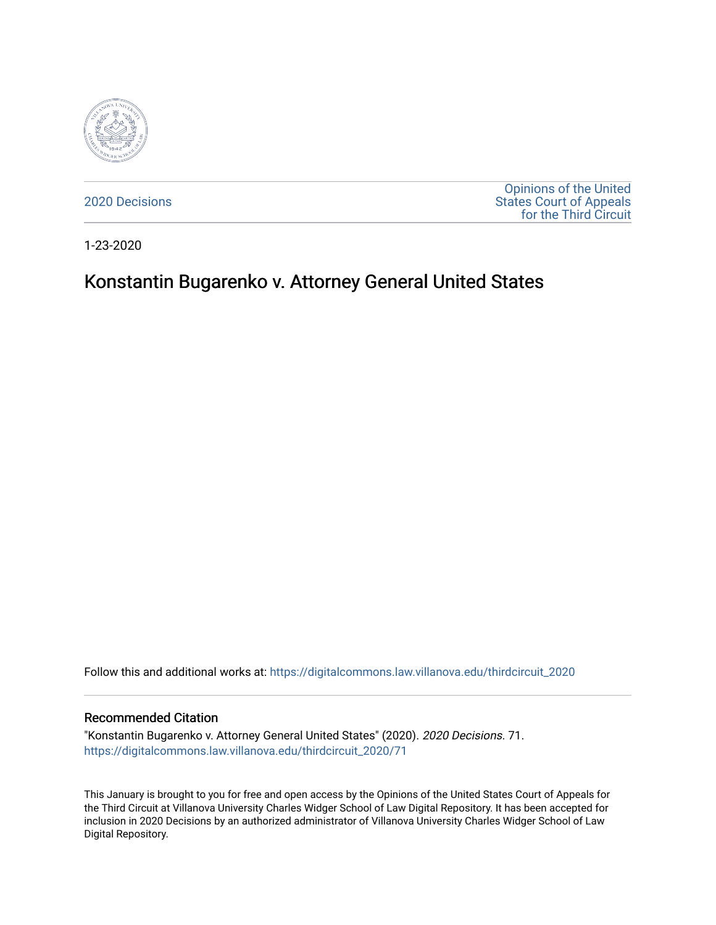

[2020 Decisions](https://digitalcommons.law.villanova.edu/thirdcircuit_2020)

[Opinions of the United](https://digitalcommons.law.villanova.edu/thirdcircuit)  [States Court of Appeals](https://digitalcommons.law.villanova.edu/thirdcircuit)  [for the Third Circuit](https://digitalcommons.law.villanova.edu/thirdcircuit) 

1-23-2020

# Konstantin Bugarenko v. Attorney General United States

Follow this and additional works at: [https://digitalcommons.law.villanova.edu/thirdcircuit\\_2020](https://digitalcommons.law.villanova.edu/thirdcircuit_2020?utm_source=digitalcommons.law.villanova.edu%2Fthirdcircuit_2020%2F71&utm_medium=PDF&utm_campaign=PDFCoverPages) 

#### Recommended Citation

"Konstantin Bugarenko v. Attorney General United States" (2020). 2020 Decisions. 71. [https://digitalcommons.law.villanova.edu/thirdcircuit\\_2020/71](https://digitalcommons.law.villanova.edu/thirdcircuit_2020/71?utm_source=digitalcommons.law.villanova.edu%2Fthirdcircuit_2020%2F71&utm_medium=PDF&utm_campaign=PDFCoverPages)

This January is brought to you for free and open access by the Opinions of the United States Court of Appeals for the Third Circuit at Villanova University Charles Widger School of Law Digital Repository. It has been accepted for inclusion in 2020 Decisions by an authorized administrator of Villanova University Charles Widger School of Law Digital Repository.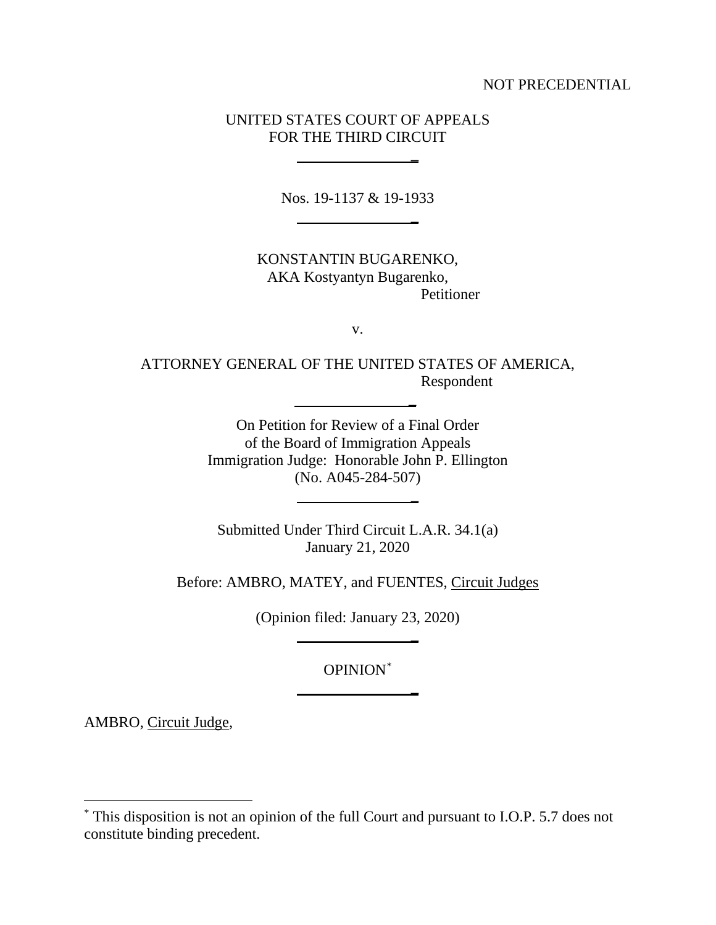NOT PRECEDENTIAL

### UNITED STATES COURT OF APPEALS FOR THE THIRD CIRCUIT

**\_**

**\_**

**\_**

**\_**

**\_**

Nos. 19-1137 & 19-1933

KONSTANTIN BUGARENKO, AKA Kostyantyn Bugarenko, Petitioner

v.

ATTORNEY GENERAL OF THE UNITED STATES OF AMERICA, Respondent

 **\_**

On Petition for Review of a Final Order of the Board of Immigration Appeals Immigration Judge: Honorable John P. Ellington (No. A045-284-507)

Submitted Under Third Circuit L.A.R. 34.1(a) January 21, 2020

Before: AMBRO, MATEY, and FUENTES, Circuit Judges

(Opinion filed: January 23, 2020)

OPINION\*

AMBRO, Circuit Judge,

 $\overline{a}$ 

<sup>\*</sup> This disposition is not an opinion of the full Court and pursuant to I.O.P. 5.7 does not constitute binding precedent.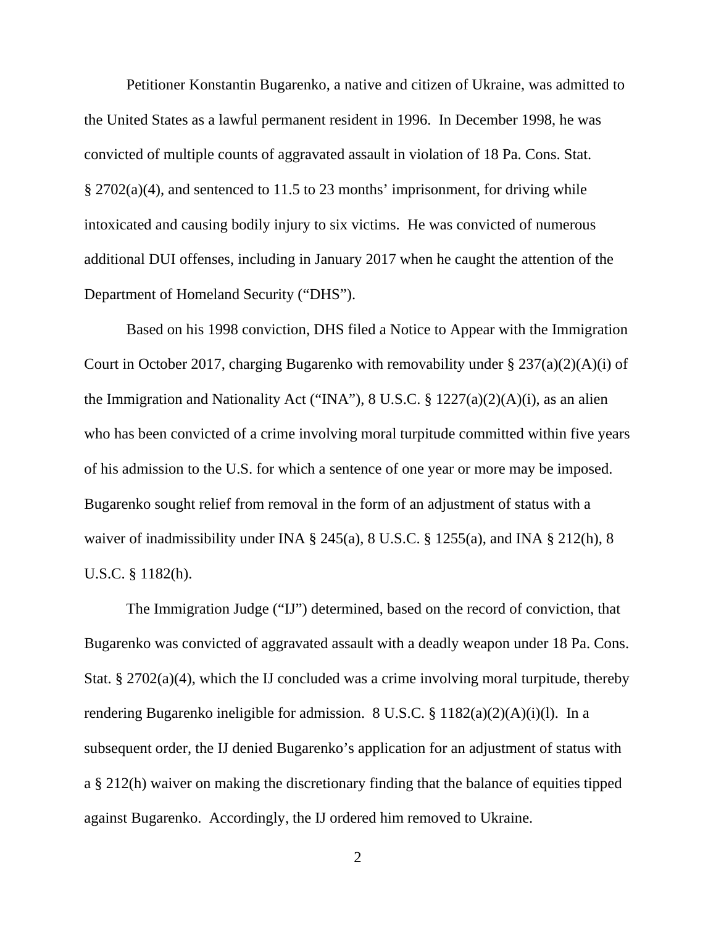Petitioner Konstantin Bugarenko, a native and citizen of Ukraine, was admitted to the United States as a lawful permanent resident in 1996. In December 1998, he was convicted of multiple counts of aggravated assault in violation of 18 Pa. Cons. Stat. § 2702(a)(4), and sentenced to 11.5 to 23 months' imprisonment, for driving while intoxicated and causing bodily injury to six victims. He was convicted of numerous additional DUI offenses, including in January 2017 when he caught the attention of the Department of Homeland Security ("DHS").

Based on his 1998 conviction, DHS filed a Notice to Appear with the Immigration Court in October 2017, charging Bugarenko with removability under § 237(a)(2)(A)(i) of the Immigration and Nationality Act ("INA"), 8 U.S.C. § 1227(a)(2)(A)(i), as an alien who has been convicted of a crime involving moral turpitude committed within five years of his admission to the U.S. for which a sentence of one year or more may be imposed. Bugarenko sought relief from removal in the form of an adjustment of status with a waiver of inadmissibility under INA § 245(a), 8 U.S.C. § 1255(a), and INA § 212(h), 8 U.S.C. § 1182(h).

The Immigration Judge ("IJ") determined, based on the record of conviction, that Bugarenko was convicted of aggravated assault with a deadly weapon under 18 Pa. Cons. Stat. § 2702(a)(4), which the IJ concluded was a crime involving moral turpitude, thereby rendering Bugarenko ineligible for admission. 8 U.S.C. § 1182(a)(2)(A)(i)(l). In a subsequent order, the IJ denied Bugarenko's application for an adjustment of status with a § 212(h) waiver on making the discretionary finding that the balance of equities tipped against Bugarenko. Accordingly, the IJ ordered him removed to Ukraine.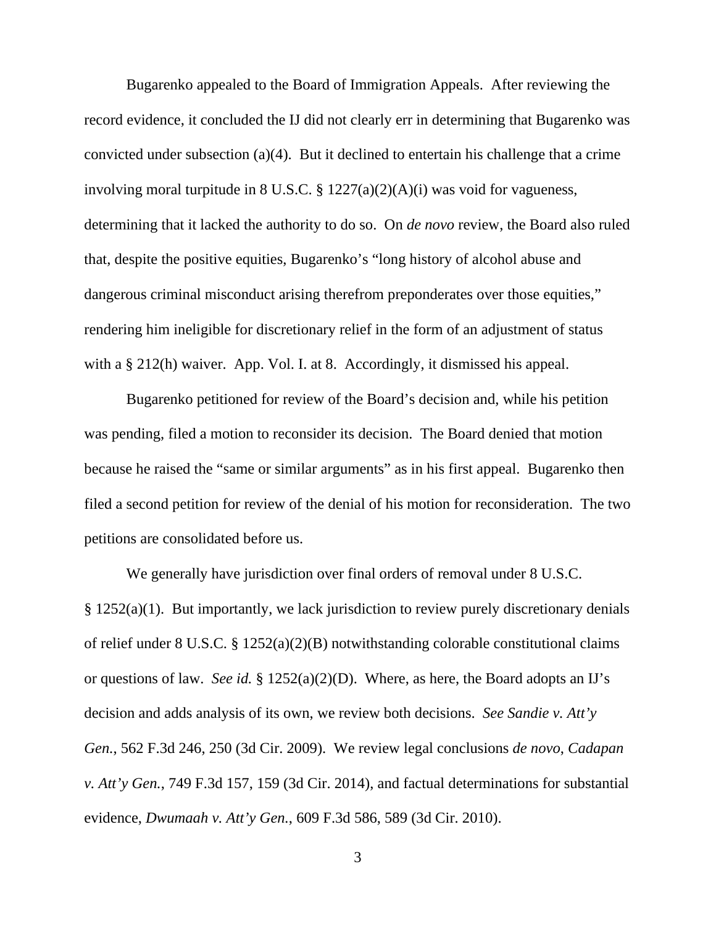Bugarenko appealed to the Board of Immigration Appeals. After reviewing the record evidence, it concluded the IJ did not clearly err in determining that Bugarenko was convicted under subsection (a)(4). But it declined to entertain his challenge that a crime involving moral turpitude in 8 U.S.C. § 1227(a)(2)(A)(i) was void for vagueness, determining that it lacked the authority to do so. On *de novo* review, the Board also ruled that, despite the positive equities, Bugarenko's "long history of alcohol abuse and dangerous criminal misconduct arising therefrom preponderates over those equities," rendering him ineligible for discretionary relief in the form of an adjustment of status with a § 212(h) waiver. App. Vol. I. at 8. Accordingly, it dismissed his appeal.

Bugarenko petitioned for review of the Board's decision and, while his petition was pending, filed a motion to reconsider its decision. The Board denied that motion because he raised the "same or similar arguments" as in his first appeal. Bugarenko then filed a second petition for review of the denial of his motion for reconsideration. The two petitions are consolidated before us.

We generally have jurisdiction over final orders of removal under  $8 \text{ U.S.C.}$  $§$  1252(a)(1). But importantly, we lack jurisdiction to review purely discretionary denials of relief under 8 U.S.C. § 1252(a)(2)(B) notwithstanding colorable constitutional claims or questions of law. *See id.* § 1252(a)(2)(D). Where, as here, the Board adopts an IJ's decision and adds analysis of its own, we review both decisions. *See Sandie v. Att'y Gen.*, 562 F.3d 246, 250 (3d Cir. 2009). We review legal conclusions *de novo*, *Cadapan v. Att'y Gen.*, 749 F.3d 157, 159 (3d Cir. 2014), and factual determinations for substantial evidence, *Dwumaah v. Att'y Gen.*, 609 F.3d 586, 589 (3d Cir. 2010).

3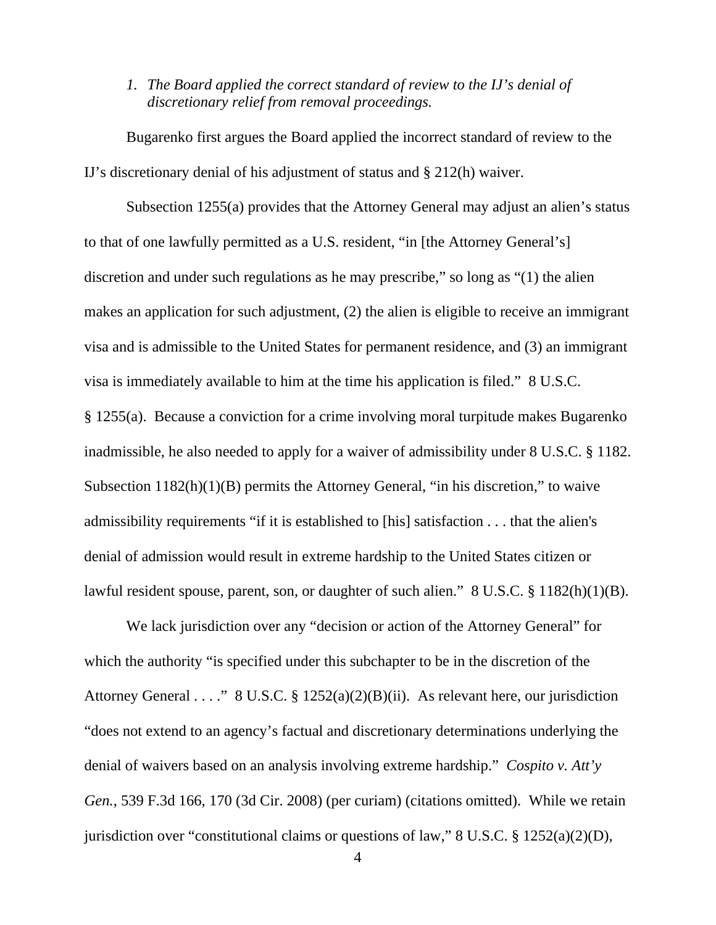*1. The Board applied the correct standard of review to the IJ's denial of discretionary relief from removal proceedings.*

Bugarenko first argues the Board applied the incorrect standard of review to the IJ's discretionary denial of his adjustment of status and § 212(h) waiver.

Subsection 1255(a) provides that the Attorney General may adjust an alien's status to that of one lawfully permitted as a U.S. resident, "in [the Attorney General's] discretion and under such regulations as he may prescribe," so long as "(1) the alien makes an application for such adjustment, (2) the alien is eligible to receive an immigrant visa and is admissible to the United States for permanent residence, and (3) an immigrant visa is immediately available to him at the time his application is filed." 8 U.S.C. § 1255(a). Because a conviction for a crime involving moral turpitude makes Bugarenko inadmissible, he also needed to apply for a waiver of admissibility under 8 U.S.C. § 1182. Subsection 1182(h)(1)(B) permits the Attorney General, "in his discretion," to waive admissibility requirements "if it is established to [his] satisfaction . . . that the alien's denial of admission would result in extreme hardship to the United States citizen or lawful resident spouse, parent, son, or daughter of such alien." 8 U.S.C. § 1182(h)(1)(B).

We lack jurisdiction over any "decision or action of the Attorney General" for which the authority "is specified under this subchapter to be in the discretion of the Attorney General . . . ." 8 U.S.C. § 1252(a)(2)(B)(ii). As relevant here, our jurisdiction "does not extend to an agency's factual and discretionary determinations underlying the denial of waivers based on an analysis involving extreme hardship." *Cospito v. Att'y Gen.*, 539 F.3d 166, 170 (3d Cir. 2008) (per curiam) (citations omitted). While we retain jurisdiction over "constitutional claims or questions of law," 8 U.S.C. § 1252(a)(2)(D),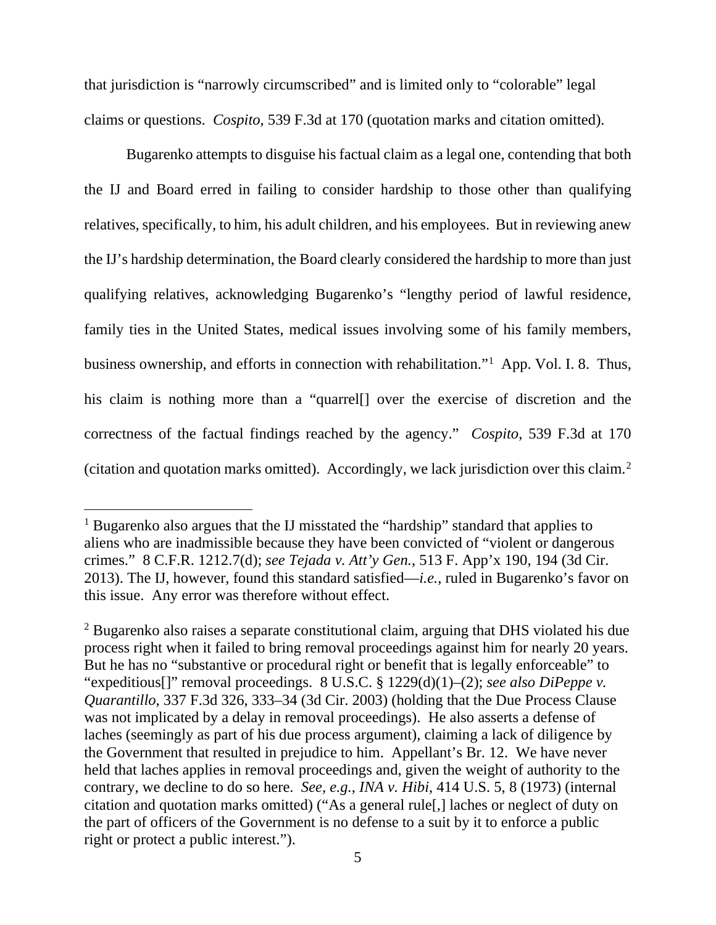that jurisdiction is "narrowly circumscribed" and is limited only to "colorable" legal claims or questions. *Cospito*, 539 F.3d at 170 (quotation marks and citation omitted).

Bugarenko attempts to disguise his factual claim as a legal one, contending that both the IJ and Board erred in failing to consider hardship to those other than qualifying relatives, specifically, to him, his adult children, and his employees. But in reviewing anew the IJ's hardship determination, the Board clearly considered the hardship to more than just qualifying relatives, acknowledging Bugarenko's "lengthy period of lawful residence, family ties in the United States, medical issues involving some of his family members, business ownership, and efforts in connection with rehabilitation."<sup>1</sup> App. Vol. I. 8. Thus, his claim is nothing more than a "quarrell" over the exercise of discretion and the correctness of the factual findings reached by the agency." *Cospito*, 539 F.3d at 170 (citation and quotation marks omitted). Accordingly, we lack jurisdiction over this claim. 2

<sup>&</sup>lt;sup>1</sup> Bugarenko also argues that the IJ misstated the "hardship" standard that applies to aliens who are inadmissible because they have been convicted of "violent or dangerous crimes." 8 C.F.R. 1212.7(d); *see Tejada v. Att'y Gen.*, 513 F. App'x 190, 194 (3d Cir. 2013). The IJ, however, found this standard satisfied—*i.e.*, ruled in Bugarenko's favor on this issue. Any error was therefore without effect.

<sup>&</sup>lt;sup>2</sup> Bugarenko also raises a separate constitutional claim, arguing that DHS violated his due process right when it failed to bring removal proceedings against him for nearly 20 years. But he has no "substantive or procedural right or benefit that is legally enforceable" to "expeditious[]" removal proceedings. 8 U.S.C. § 1229(d)(1)–(2); *see also DiPeppe v. Quarantillo*, 337 F.3d 326, 333–34 (3d Cir. 2003) (holding that the Due Process Clause was not implicated by a delay in removal proceedings). He also asserts a defense of laches (seemingly as part of his due process argument), claiming a lack of diligence by the Government that resulted in prejudice to him. Appellant's Br. 12. We have never held that laches applies in removal proceedings and, given the weight of authority to the contrary, we decline to do so here. *See, e.g.*, *INA v. Hibi*, 414 U.S. 5, 8 (1973) (internal citation and quotation marks omitted) ("As a general rule[,] laches or neglect of duty on the part of officers of the Government is no defense to a suit by it to enforce a public right or protect a public interest.").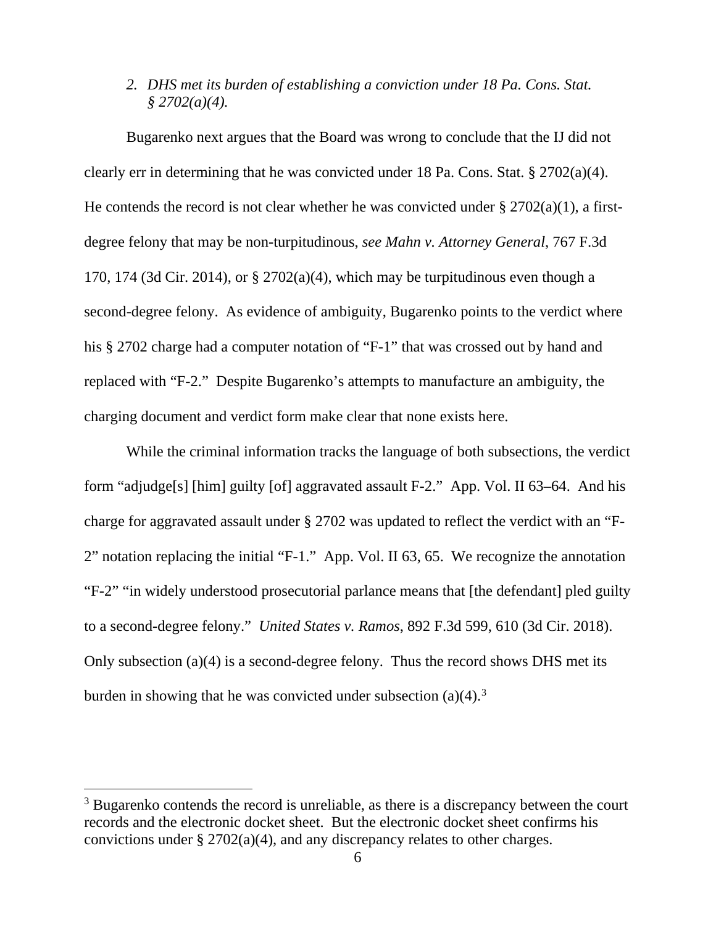## *2. DHS met its burden of establishing a conviction under 18 Pa. Cons. Stat. § 2702(a)(4).*

Bugarenko next argues that the Board was wrong to conclude that the IJ did not clearly err in determining that he was convicted under 18 Pa. Cons. Stat. § 2702(a)(4). He contends the record is not clear whether he was convicted under  $\S 2702(a)(1)$ , a firstdegree felony that may be non-turpitudinous, *see Mahn v. Attorney General*, 767 F.3d 170, 174 (3d Cir. 2014), or  $\S 2702(a)(4)$ , which may be turpitudinous even though a second-degree felony. As evidence of ambiguity, Bugarenko points to the verdict where his § 2702 charge had a computer notation of "F-1" that was crossed out by hand and replaced with "F-2." Despite Bugarenko's attempts to manufacture an ambiguity, the charging document and verdict form make clear that none exists here.

While the criminal information tracks the language of both subsections, the verdict form "adjudge[s] [him] guilty [of] aggravated assault F-2." App. Vol. II 63–64. And his charge for aggravated assault under § 2702 was updated to reflect the verdict with an "F-2" notation replacing the initial "F-1." App. Vol. II 63, 65. We recognize the annotation "F-2" "in widely understood prosecutorial parlance means that [the defendant] pled guilty to a second-degree felony." *United States v. Ramos*, 892 F.3d 599, 610 (3d Cir. 2018). Only subsection (a)(4) is a second-degree felony. Thus the record shows DHS met its burden in showing that he was convicted under subsection  $(a)(4)$ .<sup>3</sup>

<sup>&</sup>lt;sup>3</sup> Bugarenko contends the record is unreliable, as there is a discrepancy between the court records and the electronic docket sheet. But the electronic docket sheet confirms his convictions under § 2702(a)(4), and any discrepancy relates to other charges.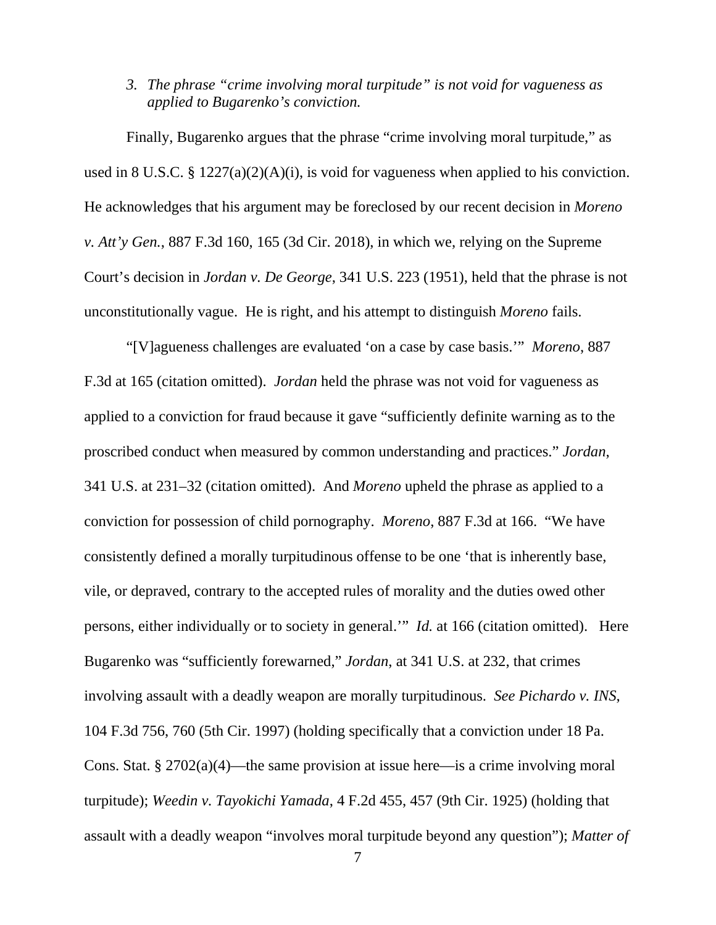# *3. The phrase "crime involving moral turpitude" is not void for vagueness as applied to Bugarenko's conviction.*

Finally, Bugarenko argues that the phrase "crime involving moral turpitude," as used in 8 U.S.C. § 1227(a)(2)(A)(i), is void for vagueness when applied to his conviction. He acknowledges that his argument may be foreclosed by our recent decision in *Moreno v. Att'y Gen.*, 887 F.3d 160, 165 (3d Cir. 2018), in which we, relying on the Supreme Court's decision in *Jordan v. De George*, 341 U.S. 223 (1951), held that the phrase is not unconstitutionally vague. He is right, and his attempt to distinguish *Moreno* fails.

"[V]agueness challenges are evaluated 'on a case by case basis.'" *Moreno*, 887 F.3d at 165 (citation omitted). *Jordan* held the phrase was not void for vagueness as applied to a conviction for fraud because it gave "sufficiently definite warning as to the proscribed conduct when measured by common understanding and practices." *Jordan*, 341 U.S. at 231–32 (citation omitted). And *Moreno* upheld the phrase as applied to a conviction for possession of child pornography. *Moreno*, 887 F.3d at 166. "We have consistently defined a morally turpitudinous offense to be one 'that is inherently base, vile, or depraved, contrary to the accepted rules of morality and the duties owed other persons, either individually or to society in general.'" *Id.* at 166 (citation omitted). Here Bugarenko was "sufficiently forewarned," *Jordan*, at 341 U.S. at 232, that crimes involving assault with a deadly weapon are morally turpitudinous. *See Pichardo v. INS*, 104 F.3d 756, 760 (5th Cir. 1997) (holding specifically that a conviction under 18 Pa. Cons. Stat. § 2702(a)(4)—the same provision at issue here—is a crime involving moral turpitude); *Weedin v. Tayokichi Yamada*, 4 F.2d 455, 457 (9th Cir. 1925) (holding that assault with a deadly weapon "involves moral turpitude beyond any question"); *Matter of*